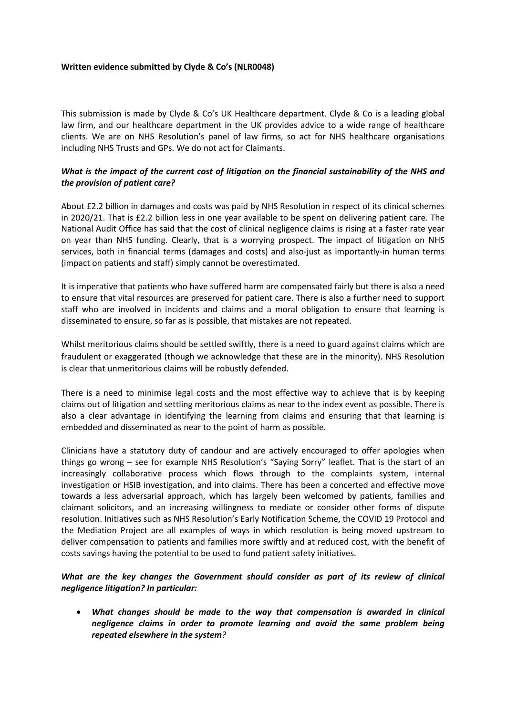#### **Written evidence submitted by Clyde & Co's (NLR0048)**

This submission is made by Clyde & Co's UK Healthcare department. Clyde & Co is a leading global law firm, and our healthcare department in the UK provides advice to a wide range of healthcare clients. We are on NHS Resolution's panel of law firms, so act for NHS healthcare organisations including NHS Trusts and GPs. We do not act for Claimants.

### What is the impact of the current cost of litigation on the financial sustainability of the NHS and *the provision of patient care?*

About £2.2 billion in damages and costs was paid by NHS Resolution in respect of its clinical schemes in 2020/21. That is £2.2 billion less in one year available to be spent on delivering patient care. The National Audit Office has said that the cost of clinical negligence claims is rising at a faster rate year on year than NHS funding. Clearly, that is a worrying prospect. The impact of litigation on NHS services, both in financial terms (damages and costs) and also-just as importantly-in human terms (impact on patients and staff) simply cannot be overestimated.

It is imperative that patients who have suffered harm are compensated fairly but there is also a need to ensure that vital resources are preserved for patient care. There is also a further need to support staff who are involved in incidents and claims and a moral obligation to ensure that learning is disseminated to ensure, so far as is possible, that mistakes are not repeated.

Whilst meritorious claims should be settled swiftly, there is a need to guard against claims which are fraudulent or exaggerated (though we acknowledge that these are in the minority). NHS Resolution is clear that unmeritorious claims will be robustly defended.

There is a need to minimise legal costs and the most effective way to achieve that is by keeping claims out of litigation and settling meritorious claims as near to the index event as possible. There is also a clear advantage in identifying the learning from claims and ensuring that that learning is embedded and disseminated as near to the point of harm as possible.

Clinicians have a statutory duty of candour and are actively encouraged to offer apologies when things go wrong – see for example NHS Resolution's "Saying Sorry" leaflet. That is the start of an increasingly collaborative process which flows through to the complaints system, internal investigation or HSIB investigation, and into claims. There has been a concerted and effective move towards a less adversarial approach, which has largely been welcomed by patients, families and claimant solicitors, and an increasing willingness to mediate or consider other forms of dispute resolution. Initiatives such as NHS Resolution's Early Notification Scheme, the COVID 19 Protocol and the Mediation Project are all examples of ways in which resolution is being moved upstream to deliver compensation to patients and families more swiftly and at reduced cost, with the benefit of costs savings having the potential to be used to fund patient safety initiatives.

### *What are the key changes the Government should consider as part of its review of clinical negligence litigation? In particular:*

 *What changes should be made to the way that compensation is awarded in clinical negligence claims in order to promote learning and avoid the same problem being repeated elsewhere in the system?*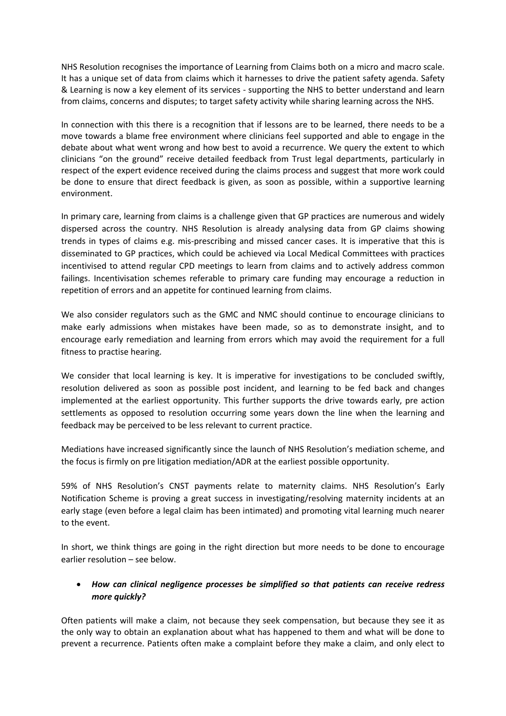NHS Resolution recognises the importance of Learning from Claims both on a micro and macro scale. It has a unique set of data from claims which it harnesses to drive the patient safety agenda. Safety & Learning is now a key element of its services - supporting the NHS to better understand and learn from claims, concerns and disputes; to target safety activity while sharing learning across the NHS.

In connection with this there is a recognition that if lessons are to be learned, there needs to be a move towards a blame free environment where clinicians feel supported and able to engage in the debate about what went wrong and how best to avoid a recurrence. We query the extent to which clinicians "on the ground" receive detailed feedback from Trust legal departments, particularly in respect of the expert evidence received during the claims process and suggest that more work could be done to ensure that direct feedback is given, as soon as possible, within a supportive learning environment.

In primary care, learning from claims is a challenge given that GP practices are numerous and widely dispersed across the country. NHS Resolution is already analysing data from GP claims showing trends in types of claims e.g. mis-prescribing and missed cancer cases. It is imperative that this is disseminated to GP practices, which could be achieved via Local Medical Committees with practices incentivised to attend regular CPD meetings to learn from claims and to actively address common failings. Incentivisation schemes referable to primary care funding may encourage a reduction in repetition of errors and an appetite for continued learning from claims.

We also consider regulators such as the GMC and NMC should continue to encourage clinicians to make early admissions when mistakes have been made, so as to demonstrate insight, and to encourage early remediation and learning from errors which may avoid the requirement for a full fitness to practise hearing.

We consider that local learning is key. It is imperative for investigations to be concluded swiftly, resolution delivered as soon as possible post incident, and learning to be fed back and changes implemented at the earliest opportunity. This further supports the drive towards early, pre action settlements as opposed to resolution occurring some years down the line when the learning and feedback may be perceived to be less relevant to current practice.

Mediations have increased significantly since the launch of NHS Resolution's mediation scheme, and the focus is firmly on pre litigation mediation/ADR at the earliest possible opportunity.

59% of NHS Resolution's CNST payments relate to maternity claims. NHS Resolution's Early Notification Scheme is proving a great success in investigating/resolving maternity incidents at an early stage (even before a legal claim has been intimated) and promoting vital learning much nearer to the event.

In short, we think things are going in the right direction but more needs to be done to encourage earlier resolution – see below.

## *How can clinical negligence processes be simplified so that patients can receive redress more quickly?*

Often patients will make a claim, not because they seek compensation, but because they see it as the only way to obtain an explanation about what has happened to them and what will be done to prevent a recurrence. Patients often make a complaint before they make a claim, and only elect to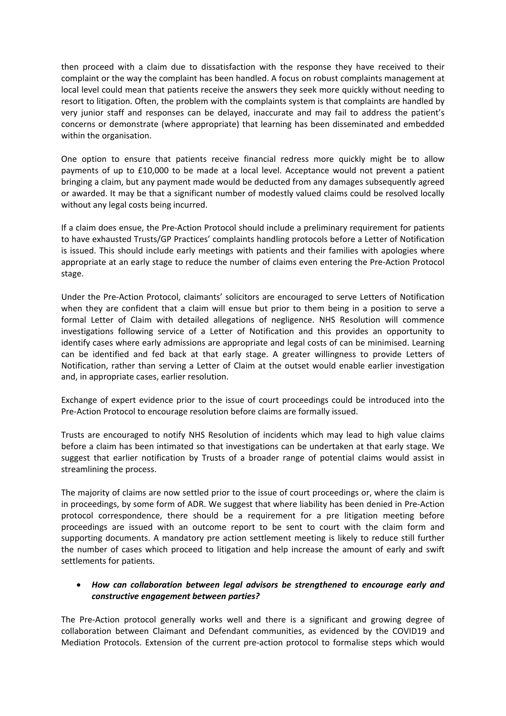then proceed with a claim due to dissatisfaction with the response they have received to their complaint or the way the complaint has been handled. A focus on robust complaints management at local level could mean that patients receive the answers they seek more quickly without needing to resort to litigation. Often, the problem with the complaints system is that complaints are handled by very junior staff and responses can be delayed, inaccurate and may fail to address the patient's concerns or demonstrate (where appropriate) that learning has been disseminated and embedded within the organisation.

One option to ensure that patients receive financial redress more quickly might be to allow payments of up to £10,000 to be made at a local level. Acceptance would not prevent a patient bringing a claim, but any payment made would be deducted from any damages subsequently agreed or awarded. It may be that a significant number of modestly valued claims could be resolved locally without any legal costs being incurred.

If a claim does ensue, the Pre-Action Protocol should include a preliminary requirement for patients to have exhausted Trusts/GP Practices' complaints handling protocols before a Letter of Notification is issued. This should include early meetings with patients and their families with apologies where appropriate at an early stage to reduce the number of claims even entering the Pre-Action Protocol stage.

Under the Pre-Action Protocol, claimants' solicitors are encouraged to serve Letters of Notification when they are confident that a claim will ensue but prior to them being in a position to serve a formal Letter of Claim with detailed allegations of negligence. NHS Resolution will commence investigations following service of a Letter of Notification and this provides an opportunity to identify cases where early admissions are appropriate and legal costs of can be minimised. Learning can be identified and fed back at that early stage. A greater willingness to provide Letters of Notification, rather than serving a Letter of Claim at the outset would enable earlier investigation and, in appropriate cases, earlier resolution.

Exchange of expert evidence prior to the issue of court proceedings could be introduced into the Pre-Action Protocol to encourage resolution before claims are formally issued.

Trusts are encouraged to notify NHS Resolution of incidents which may lead to high value claims before a claim has been intimated so that investigations can be undertaken at that early stage. We suggest that earlier notification by Trusts of a broader range of potential claims would assist in streamlining the process.

The majority of claims are now settled prior to the issue of court proceedings or, where the claim is in proceedings, by some form of ADR. We suggest that where liability has been denied in Pre-Action protocol correspondence, there should be a requirement for a pre litigation meeting before proceedings are issued with an outcome report to be sent to court with the claim form and supporting documents. A mandatory pre action settlement meeting is likely to reduce still further the number of cases which proceed to litigation and help increase the amount of early and swift settlements for patients.

### *How can collaboration between legal advisors be strengthened to encourage early and constructive engagement between parties?*

The Pre-Action protocol generally works well and there is a significant and growing degree of collaboration between Claimant and Defendant communities, as evidenced by the COVID19 and Mediation Protocols. Extension of the current pre-action protocol to formalise steps which would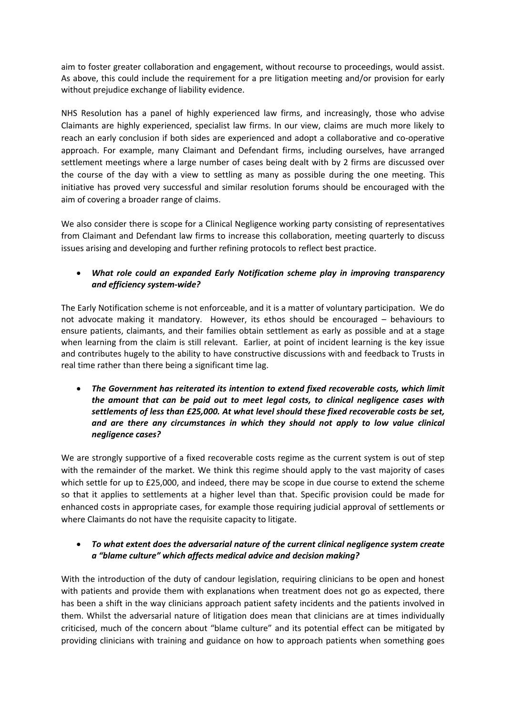aim to foster greater collaboration and engagement, without recourse to proceedings, would assist. As above, this could include the requirement for a pre litigation meeting and/or provision for early without prejudice exchange of liability evidence.

NHS Resolution has a panel of highly experienced law firms, and increasingly, those who advise Claimants are highly experienced, specialist law firms. In our view, claims are much more likely to reach an early conclusion if both sides are experienced and adopt a collaborative and co-operative approach. For example, many Claimant and Defendant firms, including ourselves, have arranged settlement meetings where a large number of cases being dealt with by 2 firms are discussed over the course of the day with a view to settling as many as possible during the one meeting. This initiative has proved very successful and similar resolution forums should be encouraged with the aim of covering a broader range of claims.

We also consider there is scope for a Clinical Negligence working party consisting of representatives from Claimant and Defendant law firms to increase this collaboration, meeting quarterly to discuss issues arising and developing and further refining protocols to reflect best practice.

# *What role could an expanded Early Notification scheme play in improving transparency and efficiency system-wide?*

The Early Notification scheme is not enforceable, and it is a matter of voluntary participation. We do not advocate making it mandatory. However, its ethos should be encouraged – behaviours to ensure patients, claimants, and their families obtain settlement as early as possible and at a stage when learning from the claim is still relevant. Earlier, at point of incident learning is the key issue and contributes hugely to the ability to have constructive discussions with and feedback to Trusts in real time rather than there being a significant time lag.

 *The Government has reiterated its intention to extend fixed recoverable costs, which limit the amount that can be paid out to meet legal costs, to clinical negligence cases with settlements of less than £25,000. At what level should these fixed recoverable costs be set, and are there any circumstances in which they should not apply to low value clinical negligence cases?*

We are strongly supportive of a fixed recoverable costs regime as the current system is out of step with the remainder of the market. We think this regime should apply to the vast majority of cases which settle for up to £25,000, and indeed, there may be scope in due course to extend the scheme so that it applies to settlements at a higher level than that. Specific provision could be made for enhanced costs in appropriate cases, for example those requiring judicial approval of settlements or where Claimants do not have the requisite capacity to litigate.

## *To what extent does the adversarial nature of the current clinical negligence system create a "blame culture" which affects medical advice and decision making?*

With the introduction of the duty of candour legislation, requiring clinicians to be open and honest with patients and provide them with explanations when treatment does not go as expected, there has been a shift in the way clinicians approach patient safety incidents and the patients involved in them. Whilst the adversarial nature of litigation does mean that clinicians are at times individually criticised, much of the concern about "blame culture" and its potential effect can be mitigated by providing clinicians with training and guidance on how to approach patients when something goes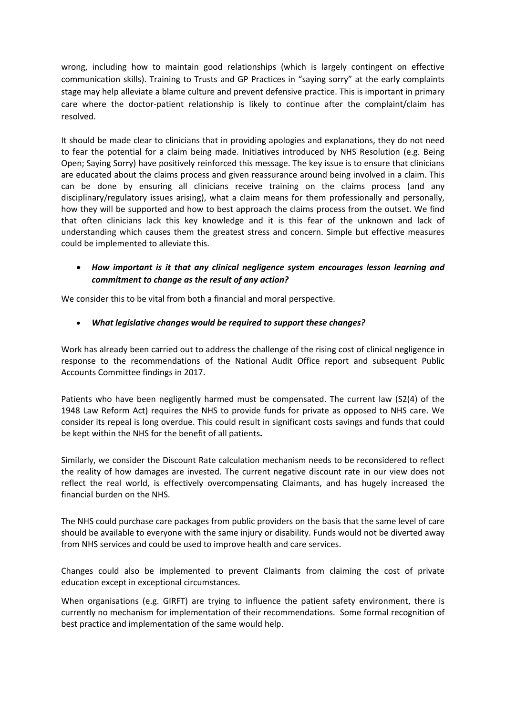wrong, including how to maintain good relationships (which is largely contingent on effective communication skills). Training to Trusts and GP Practices in "saying sorry" at the early complaints stage may help alleviate a blame culture and prevent defensive practice. This is important in primary care where the doctor-patient relationship is likely to continue after the complaint/claim has resolved.

It should be made clear to clinicians that in providing apologies and explanations, they do not need to fear the potential for a claim being made. Initiatives introduced by NHS Resolution (e.g. Being Open; Saying Sorry) have positively reinforced this message. The key issue is to ensure that clinicians are educated about the claims process and given reassurance around being involved in a claim. This can be done by ensuring all clinicians receive training on the claims process (and any disciplinary/regulatory issues arising), what a claim means for them professionally and personally, how they will be supported and how to best approach the claims process from the outset. We find that often clinicians lack this key knowledge and it is this fear of the unknown and lack of understanding which causes them the greatest stress and concern. Simple but effective measures could be implemented to alleviate this.

## *How important is it that any clinical negligence system encourages lesson learning and commitment to change as the result of any action?*

We consider this to be vital from both a financial and moral perspective.

### *What legislative changes would be required to support these changes?*

Work has already been carried out to address the challenge of the rising cost of clinical negligence in response to the recommendations of the National Audit Office report and subsequent Public Accounts Committee findings in 2017.

Patients who have been negligently harmed must be compensated. The current law (S2(4) of the 1948 Law Reform Act) requires the NHS to provide funds for private as opposed to NHS care. We consider its repeal is long overdue. This could result in significant costs savings and funds that could be kept within the NHS for the benefit of all patients**.**

Similarly, we consider the Discount Rate calculation mechanism needs to be reconsidered to reflect the reality of how damages are invested. The current negative discount rate in our view does not reflect the real world, is effectively overcompensating Claimants, and has hugely increased the financial burden on the NHS.

The NHS could purchase care packages from public providers on the basis that the same level of care should be available to everyone with the same injury or disability. Funds would not be diverted away from NHS services and could be used to improve health and care services.

Changes could also be implemented to prevent Claimants from claiming the cost of private education except in exceptional circumstances.

When organisations (e.g. GIRFT) are trying to influence the patient safety environment, there is currently no mechanism for implementation of their recommendations. Some formal recognition of best practice and implementation of the same would help.